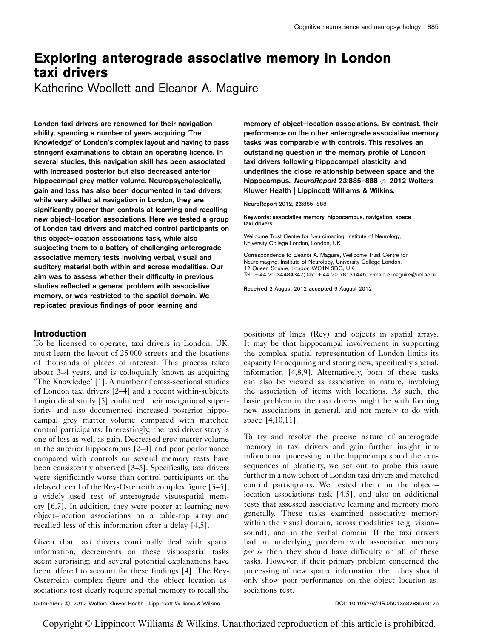# Exploring anterograde associative memory in London taxi drivers

Katherine Woollett and Eleanor A. Maguire

London taxi drivers are renowned for their navigation ability, spending a number of years acquiring 'The Knowledge' of London's complex layout and having to pass stringent examinations to obtain an operating licence. In several studies, this navigation skill has been associated with increased posterior but also decreased anterior hippocampal grey matter volume. Neuropsychologically, gain and loss has also been documented in taxi drivers; while very skilled at navigation in London, they are significantly poorer than controls at learning and recalling new object–location associations. Here we tested a group of London taxi drivers and matched control participants on this object–location associations task, while also subjecting them to a battery of challenging anterograde associative memory tests involving verbal, visual and auditory material both within and across modalities. Our aim was to assess whether their difficulty in previous studies reflected a general problem with associative memory, or was restricted to the spatial domain. We replicated previous findings of poor learning and

# Introduction

To be licensed to operate, taxi drivers in London, UK, must learn the layout of 25 000 streets and the locations of thousands of places of interest. This process takes about 3–4 years, and is colloquially known as acquiring 'The Knowledge' [\[1\]](#page-3-0). A number of cross-sectional studies of London taxi drivers [\[2–4\]](#page-3-0) and a recent within-subjects longitudinal study [\[5\]](#page-3-0) confirmed their navigational superiority and also documented increased posterior hippocampal grey matter volume compared with matched control participants. Interestingly, the taxi driver story is one of loss as well as gain. Decreased grey matter volume in the anterior hippocampus [\[2–4](#page-3-0)] and poor performance compared with controls on several memory tests have been consistently observed [\[3–5\]](#page-3-0). Specifically, taxi drivers were significantly worse than control participants on the delayed recall of the Rey-Osterreith complex figure [\[3–5](#page-3-0)], a widely used test of anterograde visuospatial memory [\[6,7\]](#page-3-0). In addition, they were poorer at learning new object–location associations on a table-top array and recalled less of this information after a delay [\[4,5](#page-3-0)].

Given that taxi drivers continually deal with spatial information, decrements on these visuospatial tasks seem surprising; and several potential explanations have been offered to account for these findings [\[4](#page-3-0)]. The Rey-Osterreith complex figure and the object–location associations test clearly require spatial memory to recall the

memory of object–location associations. By contrast, their performance on the other anterograde associative memory tasks was comparable with controls. This resolves an outstanding question in the memory profile of London taxi drivers following hippocampal plasticity, and underlines the close relationship between space and the hippocampus. Ne*uroReport* 23:885-888 © 2012 Wolters Kluwer Health | Lippincott Williams & Wilkins.

NeuroReport 2012, 23:885–888

Keywords: associative memory, hippocampus, navigation, space taxi drivers

Wellcome Trust Centre for Neuroimaging, Institute of Neurology, University College London, London, UK

Correspondence to Eleanor A. Maguire, Wellcome Trust Centre for Neuroimaging, Institute of Neurology, University College London, 12 Queen Square, London WC1N 3BG, UK Tel: + 44 20 34484347; fax: + 44 20 78131445; e-mail: [e.maguire@ucl.ac.uk](mailto:e.maguire@ucl.ac.uk)

Received 2 August 2012 accepted 9 August 2012

positions of lines (Rey) and objects in spatial arrays. It may be that hippocampal involvement in supporting the complex spatial representation of London limits its capacity for acquiring and storing new, specifically spatial, information [\[4,8,9](#page-3-0)]. Alternatively, both of these tasks can also be viewed as associative in nature, involving the association of items with locations. As such, the basic problem in the taxi drivers might be with forming new associations in general, and not merely to do with space [\[4,10,11](#page-3-0)].

To try and resolve the precise nature of anterograde memory in taxi drivers and gain further insight into information processing in the hippocampus and the consequences of plasticity, we set out to probe this issue further in a new cohort of London taxi drivers and matched control participants. We tested them on the object– location associations task [\[4,5\]](#page-3-0), and also on additional tests that assessed associative learning and memory more generally. These tasks examined associative memory within the visual domain, across modalities (e.g. vision– sound), and in the verbal domain. If the taxi drivers had an underlying problem with associative memory per se then they should have difficulty on all of these tasks. However, if their primary problem concerned the processing of new spatial information then they should only show poor performance on the object–location associations test.

0959-4965 ⓒ 2012 Wolters Kluwer Health | Lippincott Williams & Wilkins DOI: 10.1097/WNR.0b013e328359317e

Copyright © Lippincott Williams & Wilkins. Unauthorized reproduction of this article is prohibited.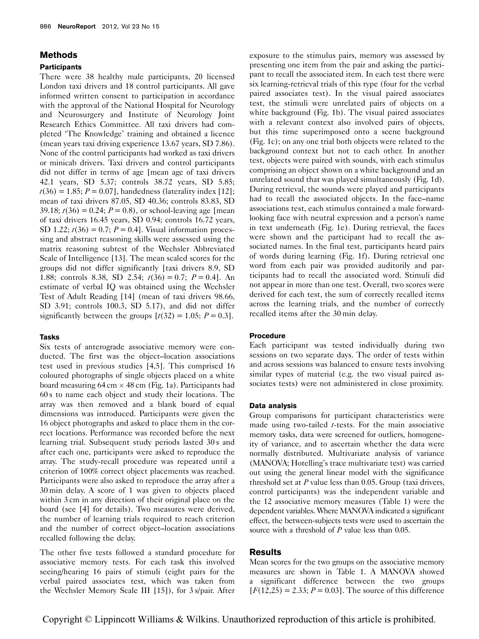# Methods

## **Participants**

There were 38 healthy male participants, 20 licensed London taxi drivers and 18 control participants. All gave informed written consent to participation in accordance with the approval of the National Hospital for Neurology and Neurosurgery and Institute of Neurology Joint Research Ethics Committee. All taxi drivers had completed 'The Knowledge' training and obtained a licence (mean years taxi driving experience 13.67 years, SD 7.86). None of the control participants had worked as taxi drivers or minicab drivers. Taxi drivers and control participants did not differ in terms of age [mean age of taxi drivers 42.1 years, SD 5.37; controls 38.72 years, SD 5.85;  $t(36) = 1.85; P = 0.07$ , handedness (laterality index [\[12](#page-3-0)]; mean of taxi drivers 87.05, SD 40.36; controls 83.83, SD 39.18;  $t(36) = 0.24$ ;  $P = 0.8$ ), or school-leaving age [mean] of taxi drivers 16.45 years, SD 0.94; controls 16.72 years, SD 1.22;  $t(36) = 0.7$ ;  $P = 0.4$ ]. Visual information processing and abstract reasoning skills were assessed using the matrix reasoning subtest of the Wechsler Abbreviated Scale of Intelligence [\[13](#page-3-0)]. The mean scaled scores for the groups did not differ significantly [taxi drivers 8.9, SD 1.88; controls 8.38, SD 2.54;  $t(36) = 0.7$ ;  $P = 0.4$ ]. An estimate of verbal IQ was obtained using the Wechsler Test of Adult Reading [\[14\]](#page-3-0) (mean of taxi drivers 98.66, SD 3.91; controls 100.3, SD 5.17), and did not differ significantly between the groups  $[t(32) = 1.05; P = 0.3]$ .

# Tasks

Six tests of anterograde associative memory were conducted. The first was the object–location associations test used in previous studies [\[4,5\]](#page-3-0). This comprised 16 coloured photographs of single objects placed on a white board measuring  $64 \text{ cm} \times 48 \text{ cm}$  [\(Fig. 1a](#page-2-0)). Participants had 60 s to name each object and study their locations. The array was then removed and a blank board of equal dimensions was introduced. Participants were given the 16 object photographs and asked to place them in the correct locations. Performance was recorded before the next learning trial. Subsequent study periods lasted 30 s and after each one, participants were asked to reproduce the array. The study-recall procedure was repeated until a criterion of 100% correct object placements was reached. Participants were also asked to reproduce the array after a 30 min delay. A score of 1 was given to objects placed within 3 cm in any direction of their original place on the board (see [\[4](#page-3-0)] for details). Two measures were derived, the number of learning trials required to reach criterion and the number of correct object–location associations recalled following the delay.

The other five tests followed a standard procedure for associative memory tests. For each task this involved seeing/hearing 16 pairs of stimuli (eight pairs for the verbal paired associates test, which was taken from the Wechsler Memory Scale III [\[15](#page-3-0)]), for 3 s/pair. After exposure to the stimulus pairs, memory was assessed by presenting one item from the pair and asking the participant to recall the associated item. In each test there were six learning-retrieval trials of this type (four for the verbal paired associates test). In the visual paired associates test, the stimuli were unrelated pairs of objects on a white background [\(Fig. 1b](#page-2-0)). The visual paired associates with a relevant context also involved pairs of objects, but this time superimposed onto a scene background ([Fig. 1c\)](#page-2-0); on any one trial both objects were related to the background context but not to each other. In another test, objects were paired with sounds, with each stimulus comprising an object shown on a white background and an unrelated sound that was played simultaneously [\(Fig. 1d](#page-2-0)). During retrieval, the sounds were played and participants had to recall the associated objects. In the face–name associations test, each stimulus contained a male forwardlooking face with neutral expression and a person's name in text underneath ([Fig. 1e\)](#page-2-0). During retrieval, the faces were shown and the participant had to recall the associated names. In the final test, participants heard pairs of words during learning [\(Fig. 1f\)](#page-2-0). During retrieval one word from each pair was provided auditorily and participants had to recall the associated word. Stimuli did not appear in more than one test. Overall, two scores were derived for each test, the sum of correctly recalled items across the learning trials, and the number of correctly recalled items after the 30 min delay.

#### Procedure

Each participant was tested individually during two sessions on two separate days. The order of tests within and across sessions was balanced to ensure tests involving similar types of material (e.g. the two visual paired associates tests) were not administered in close proximity.

#### Data analysis

Group comparisons for participant characteristics were made using two-tailed  $t$ -tests. For the main associative memory tasks, data were screened for outliers, homogeneity of variance, and to ascertain whether the data were normally distributed. Multivariate analysis of variance (MANOVA; Hotelling's trace multivariate test) was carried out using the general linear model with the significance threshold set at  $P$  value less than 0.05. Group (taxi drivers, control participants) was the independent variable and the 12 associative memory measures [\(Table 1\)](#page-3-0) were the dependent variables. Where MANOVA indicated a significant effect, the between-subjects tests were used to ascertain the source with a threshold of P value less than 0.05.

# **Results**

Mean scores for the two groups on the associative memory measures are shown in [Table 1](#page-3-0). A MANOVA showed a significant difference between the two groups  $[F(12,25) = 2.33; P = 0.03]$ . The source of this difference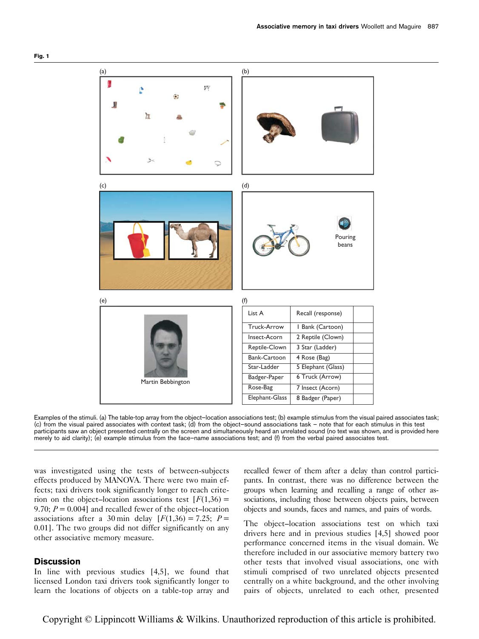<span id="page-2-0"></span>

Examples of the stimuli. (a) The table-top array from the object–location associations test; (b) example stimulus from the visual paired associates task; (c) from the visual paired associates with context task; (d) from the object–sound associations task – note that for each stimulus in this test participants saw an object presented centrally on the screen and simultaneously heard an unrelated sound (no text was shown, and is provided here merely to aid clarity); (e) example stimulus from the face–name associations test; and (f) from the verbal paired associates test.

was investigated using the tests of between-subjects effects produced by MANOVA. There were two main effects; taxi drivers took significantly longer to reach criterion on the object–location associations test  $[F(1,36) =$ 9.70;  $P = 0.004$  and recalled fewer of the object-location associations after a 30 min delay  $[F(1,36) = 7.25; P =$ 0.01]. The two groups did not differ significantly on any other associative memory measure.

## **Discussion**

In line with previous studies [\[4,5\]](#page-3-0), we found that licensed London taxi drivers took significantly longer to learn the locations of objects on a table-top array and recalled fewer of them after a delay than control participants. In contrast, there was no difference between the groups when learning and recalling a range of other associations, including those between objects pairs, between objects and sounds, faces and names, and pairs of words.

The object–location associations test on which taxi drivers here and in previous studies [\[4,5\]](#page-3-0) showed poor performance concerned items in the visual domain. We therefore included in our associative memory battery two other tests that involved visual associations, one with stimuli comprised of two unrelated objects presented centrally on a white background, and the other involving pairs of objects, unrelated to each other, presented

Copyright © Lippincott Williams & Wilkins. Unauthorized reproduction of this article is prohibited.